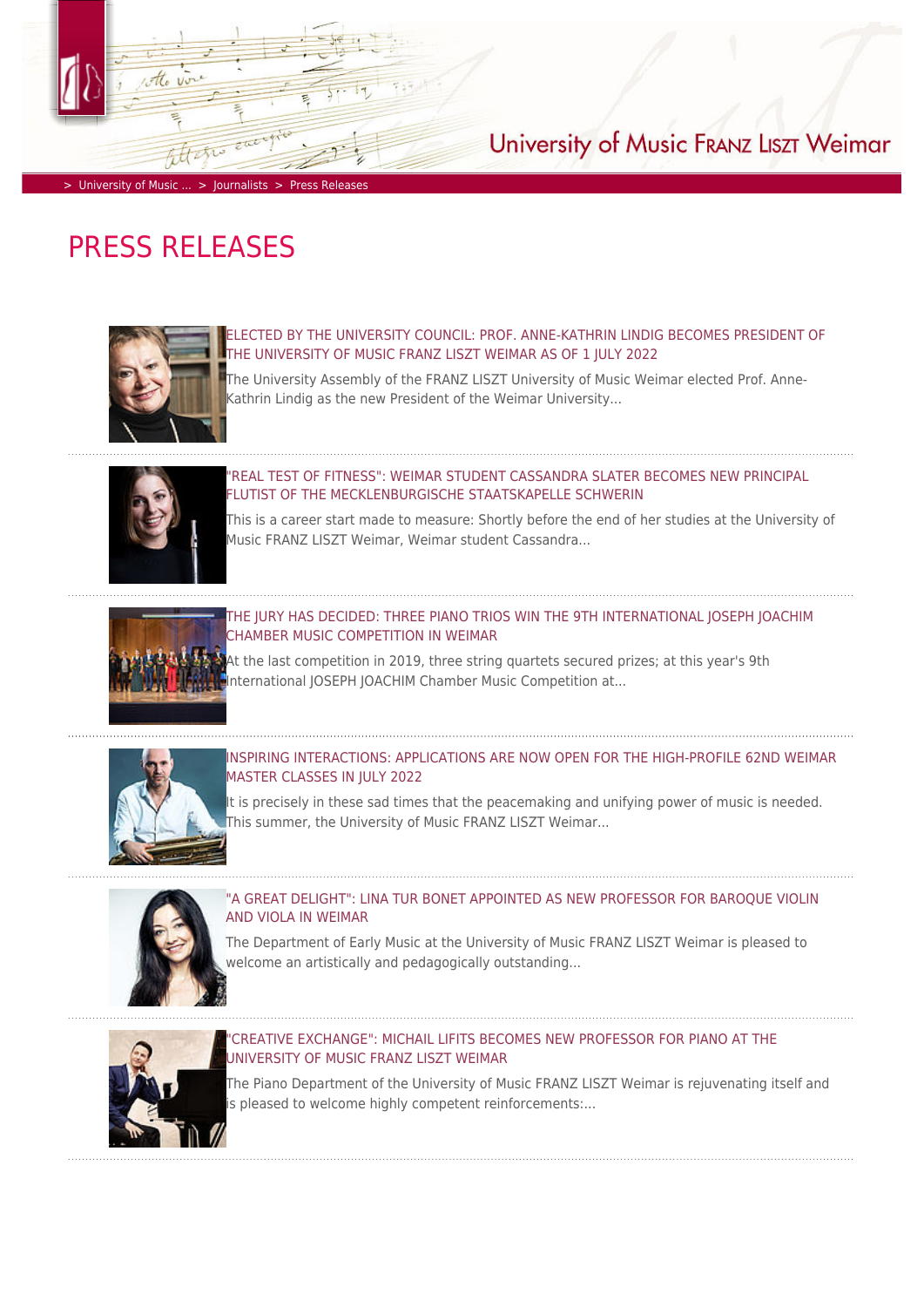

# > [University of Music ...](https://www.hfm-weimar.de/start/?L=1) > [Journalists](https://www.hfm-weimar.de/journalists/contact/?L=1) > [Press Releases](https://www.hfm-weimar.de/journalists/press-releases/?L=1)

# PRESS RELEASES



## ED BY THE UNIVERSITY COUNCIL: PROF. ANNE-KATHRIN LINDIG BECOMES PRESIDENT OF [THE UNIVERSITY OF MUSIC FRANZ LISZT WEIMAR AS OF 1 JULY 2022](https://www.hfm-weimar.de/journalists/press-releases/detailansicht/?L=1&tx_jobase_pi2%5BjoNewsDetail%5D=1648&tx_jobase_pi2%5BjoRefererId%5D=142&tx_jobase_pi2%5Baction%5D=news&tx_jobase_pi2%5Bcontroller%5D=Elements&cHash=20c8655b505a209d70c8da03d8f137b7)

University of Music FRANZ LISZT Weimar

[The University Assembly of the FRANZ LISZT University of Music Weimar elected Prof. Anne-](https://www.hfm-weimar.de/journalists/press-releases/detailansicht/?L=1&tx_jobase_pi2%5BjoNewsDetail%5D=1648&tx_jobase_pi2%5BjoRefererId%5D=142&tx_jobase_pi2%5Baction%5D=news&tx_jobase_pi2%5Bcontroller%5D=Elements&cHash=20c8655b505a209d70c8da03d8f137b7)[Kathrin Lindig as the new President of the Weimar University...](https://www.hfm-weimar.de/journalists/press-releases/detailansicht/?L=1&tx_jobase_pi2%5BjoNewsDetail%5D=1648&tx_jobase_pi2%5BjoRefererId%5D=142&tx_jobase_pi2%5Baction%5D=news&tx_jobase_pi2%5Bcontroller%5D=Elements&cHash=20c8655b505a209d70c8da03d8f137b7)



## ["REAL TEST OF FITNESS": WEIMAR STUDENT CASSANDRA SLATER BECOMES NEW PRINCIPAL](https://www.hfm-weimar.de/journalists/press-releases/detailansicht/?L=1&tx_jobase_pi2%5BjoNewsDetail%5D=1681&tx_jobase_pi2%5BjoRefererId%5D=142&tx_jobase_pi2%5Baction%5D=news&tx_jobase_pi2%5Bcontroller%5D=Elements&cHash=a11cdff0525811506d2da9b060ced2d3) [FLUTIST OF THE MECKLENBURGISCHE STAATSKAPELLE SCHWERIN](https://www.hfm-weimar.de/journalists/press-releases/detailansicht/?L=1&tx_jobase_pi2%5BjoNewsDetail%5D=1681&tx_jobase_pi2%5BjoRefererId%5D=142&tx_jobase_pi2%5Baction%5D=news&tx_jobase_pi2%5Bcontroller%5D=Elements&cHash=a11cdff0525811506d2da9b060ced2d3)

[This is a career start made to measure: Shortly before the end of her studies at the University of](https://www.hfm-weimar.de/journalists/press-releases/detailansicht/?L=1&tx_jobase_pi2%5BjoNewsDetail%5D=1681&tx_jobase_pi2%5BjoRefererId%5D=142&tx_jobase_pi2%5Baction%5D=news&tx_jobase_pi2%5Bcontroller%5D=Elements&cHash=a11cdff0525811506d2da9b060ced2d3) [Music FRANZ LISZT Weimar, Weimar student Cassandra...](https://www.hfm-weimar.de/journalists/press-releases/detailansicht/?L=1&tx_jobase_pi2%5BjoNewsDetail%5D=1681&tx_jobase_pi2%5BjoRefererId%5D=142&tx_jobase_pi2%5Baction%5D=news&tx_jobase_pi2%5Bcontroller%5D=Elements&cHash=a11cdff0525811506d2da9b060ced2d3)



# [THE JURY HAS DECIDED: THREE PIANO TRIOS WIN THE 9TH INTERNATIONAL JOSEPH JOACHIM](https://www.hfm-weimar.de/journalists/press-releases/detailansicht/?L=1&tx_jobase_pi2%5BjoNewsDetail%5D=1678&tx_jobase_pi2%5BjoRefererId%5D=142&tx_jobase_pi2%5Baction%5D=news&tx_jobase_pi2%5Bcontroller%5D=Elements&cHash=146efa87f74425dbd95bfd67fef43f13) [CHAMBER MUSIC COMPETITION IN WEIMAR](https://www.hfm-weimar.de/journalists/press-releases/detailansicht/?L=1&tx_jobase_pi2%5BjoNewsDetail%5D=1678&tx_jobase_pi2%5BjoRefererId%5D=142&tx_jobase_pi2%5Baction%5D=news&tx_jobase_pi2%5Bcontroller%5D=Elements&cHash=146efa87f74425dbd95bfd67fef43f13)

[At the last competition in 2019, three string quartets secured prizes; at this year's 9th](https://www.hfm-weimar.de/journalists/press-releases/detailansicht/?L=1&tx_jobase_pi2%5BjoNewsDetail%5D=1678&tx_jobase_pi2%5BjoRefererId%5D=142&tx_jobase_pi2%5Baction%5D=news&tx_jobase_pi2%5Bcontroller%5D=Elements&cHash=146efa87f74425dbd95bfd67fef43f13) nternational IOSEPH IOACHIM Chamber Music Competition at...



# [INSPIRING INTERACTIONS: APPLICATIONS ARE NOW OPEN FOR THE HIGH-PROFILE 62ND WEIMAR](https://www.hfm-weimar.de/journalists/press-releases/detailansicht/?L=1&tx_jobase_pi2%5BjoNewsDetail%5D=1667&tx_jobase_pi2%5BjoRefererId%5D=142&tx_jobase_pi2%5Baction%5D=news&tx_jobase_pi2%5Bcontroller%5D=Elements&cHash=45d2d6a6fcdfa2be0dc4a4ebe82ca033) [MASTER CLASSES IN JULY 2022](https://www.hfm-weimar.de/journalists/press-releases/detailansicht/?L=1&tx_jobase_pi2%5BjoNewsDetail%5D=1667&tx_jobase_pi2%5BjoRefererId%5D=142&tx_jobase_pi2%5Baction%5D=news&tx_jobase_pi2%5Bcontroller%5D=Elements&cHash=45d2d6a6fcdfa2be0dc4a4ebe82ca033)

[It is precisely in these sad times that the peacemaking and unifying power of music is needed.](https://www.hfm-weimar.de/journalists/press-releases/detailansicht/?L=1&tx_jobase_pi2%5BjoNewsDetail%5D=1667&tx_jobase_pi2%5BjoRefererId%5D=142&tx_jobase_pi2%5Baction%5D=news&tx_jobase_pi2%5Bcontroller%5D=Elements&cHash=45d2d6a6fcdfa2be0dc4a4ebe82ca033) [This summer, the University of Music FRANZ LISZT Weimar...](https://www.hfm-weimar.de/journalists/press-releases/detailansicht/?L=1&tx_jobase_pi2%5BjoNewsDetail%5D=1667&tx_jobase_pi2%5BjoRefererId%5D=142&tx_jobase_pi2%5Baction%5D=news&tx_jobase_pi2%5Bcontroller%5D=Elements&cHash=45d2d6a6fcdfa2be0dc4a4ebe82ca033)



# ["A GREAT DELIGHT": LINA TUR BONET APPOINTED AS NEW PROFESSOR FOR BAROQUE VIOLIN](https://www.hfm-weimar.de/journalists/press-releases/detailansicht/?L=1&tx_jobase_pi2%5BjoNewsDetail%5D=1658&tx_jobase_pi2%5BjoRefererId%5D=142&tx_jobase_pi2%5Baction%5D=news&tx_jobase_pi2%5Bcontroller%5D=Elements&cHash=109b5a103ed893cc028340b676ea23a2) [AND VIOLA IN WEIMAR](https://www.hfm-weimar.de/journalists/press-releases/detailansicht/?L=1&tx_jobase_pi2%5BjoNewsDetail%5D=1658&tx_jobase_pi2%5BjoRefererId%5D=142&tx_jobase_pi2%5Baction%5D=news&tx_jobase_pi2%5Bcontroller%5D=Elements&cHash=109b5a103ed893cc028340b676ea23a2)

[The Department of Early Music at the University of Music FRANZ LISZT Weimar is pleased to](https://www.hfm-weimar.de/journalists/press-releases/detailansicht/?L=1&tx_jobase_pi2%5BjoNewsDetail%5D=1658&tx_jobase_pi2%5BjoRefererId%5D=142&tx_jobase_pi2%5Baction%5D=news&tx_jobase_pi2%5Bcontroller%5D=Elements&cHash=109b5a103ed893cc028340b676ea23a2) [welcome an artistically and pedagogically outstanding...](https://www.hfm-weimar.de/journalists/press-releases/detailansicht/?L=1&tx_jobase_pi2%5BjoNewsDetail%5D=1658&tx_jobase_pi2%5BjoRefererId%5D=142&tx_jobase_pi2%5Baction%5D=news&tx_jobase_pi2%5Bcontroller%5D=Elements&cHash=109b5a103ed893cc028340b676ea23a2)



#### CREATIVE EXCHANGE": MICHAIL LIFITS BECOMES NEW PROFESSOR FOR PIANO AT THE [UNIVERSITY OF MUSIC FRANZ LISZT WEIMAR](https://www.hfm-weimar.de/journalists/press-releases/detailansicht/?L=1&tx_jobase_pi2%5BjoNewsDetail%5D=1657&tx_jobase_pi2%5BjoRefererId%5D=142&tx_jobase_pi2%5Baction%5D=news&tx_jobase_pi2%5Bcontroller%5D=Elements&cHash=94527d0bdc190f820b90766c57aef66e)

[The Piano Department of the University of Music FRANZ LISZT Weimar is rejuvenating itself and](https://www.hfm-weimar.de/journalists/press-releases/detailansicht/?L=1&tx_jobase_pi2%5BjoNewsDetail%5D=1657&tx_jobase_pi2%5BjoRefererId%5D=142&tx_jobase_pi2%5Baction%5D=news&tx_jobase_pi2%5Bcontroller%5D=Elements&cHash=94527d0bdc190f820b90766c57aef66e) [is pleased to welcome highly competent reinforcements:...](https://www.hfm-weimar.de/journalists/press-releases/detailansicht/?L=1&tx_jobase_pi2%5BjoNewsDetail%5D=1657&tx_jobase_pi2%5BjoRefererId%5D=142&tx_jobase_pi2%5Baction%5D=news&tx_jobase_pi2%5Bcontroller%5D=Elements&cHash=94527d0bdc190f820b90766c57aef66e)